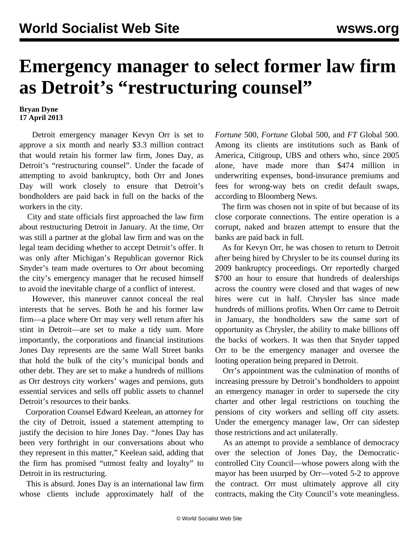## **Emergency manager to select former law firm as Detroit's "restructuring counsel"**

## **Bryan Dyne 17 April 2013**

 Detroit emergency manager Kevyn Orr is set to approve a six month and nearly \$3.3 million contract that would retain his former law firm, Jones Day, as Detroit's "restructuring counsel". Under the facade of attempting to avoid bankruptcy, both Orr and Jones Day will work closely to ensure that Detroit's bondholders are paid back in full on the backs of the workers in the city.

 City and state officials first approached the law firm about restructuring Detroit in January. At the time, Orr was still a partner at the global law firm and was on the legal team deciding whether to accept Detroit's offer. It was only after Michigan's Republican governor Rick Snyder's team made overtures to Orr about becoming the city's emergency manager that he recused himself to avoid the inevitable charge of a conflict of interest.

 However, this maneuver cannot conceal the real interests that he serves. Both he and his former law firm—a place where Orr may very well return after his stint in Detroit—are set to make a tidy sum. More importantly, the corporations and financial institutions Jones Day represents are the same Wall Street banks that hold the bulk of the city's municipal bonds and other debt. They are set to make a hundreds of millions as Orr destroys city workers' wages and pensions, guts essential services and sells off public assets to channel Detroit's resources to their banks.

 Corporation Counsel Edward Keelean, an attorney for the city of Detroit, issued a statement attempting to justify the decision to hire Jones Day. "Jones Day has been very forthright in our conversations about who they represent in this matter," Keelean said, adding that the firm has promised "utmost fealty and loyalty" to Detroit in its restructuring.

 This is absurd. Jones Day is an international law firm whose clients include approximately half of the *Fortune* 500, *Fortune* Global 500, and *FT* Global 500. Among its clients are institutions such as Bank of America, Citigroup, UBS and others who, since 2005 alone, have made more than \$474 million in underwriting expenses, bond-insurance premiums and fees for wrong-way bets on credit default swaps, according to Bloomberg News.

 The firm was chosen not in spite of but because of its close corporate connections. The entire operation is a corrupt, naked and brazen attempt to ensure that the banks are paid back in full.

 As for Kevyn Orr, he was chosen to return to Detroit after being hired by Chrysler to be its counsel during its 2009 bankruptcy proceedings. Orr reportedly charged \$700 an hour to ensure that hundreds of dealerships across the country were closed and that wages of new hires were cut in half. Chrysler has since made hundreds of millions profits. When Orr came to Detroit in January, the bondholders saw the same sort of opportunity as Chrysler, the ability to make billions off the backs of workers. It was then that Snyder tapped Orr to be the emergency manager and oversee the looting operation being prepared in Detroit.

 Orr's appointment was the culmination of months of increasing pressure by Detroit's bondholders to appoint an emergency manager in order to supersede the city charter and other legal restrictions on touching the pensions of city workers and selling off city assets. Under the emergency manager law, Orr can sidestep those restrictions and act unilaterally.

 As an attempt to provide a semblance of democracy over the selection of Jones Day, the Democraticcontrolled City Council—whose powers along with the mayor has been usurped by Orr—voted 5-2 to approve the contract. Orr must ultimately approve all city contracts, making the City Council's vote meaningless.